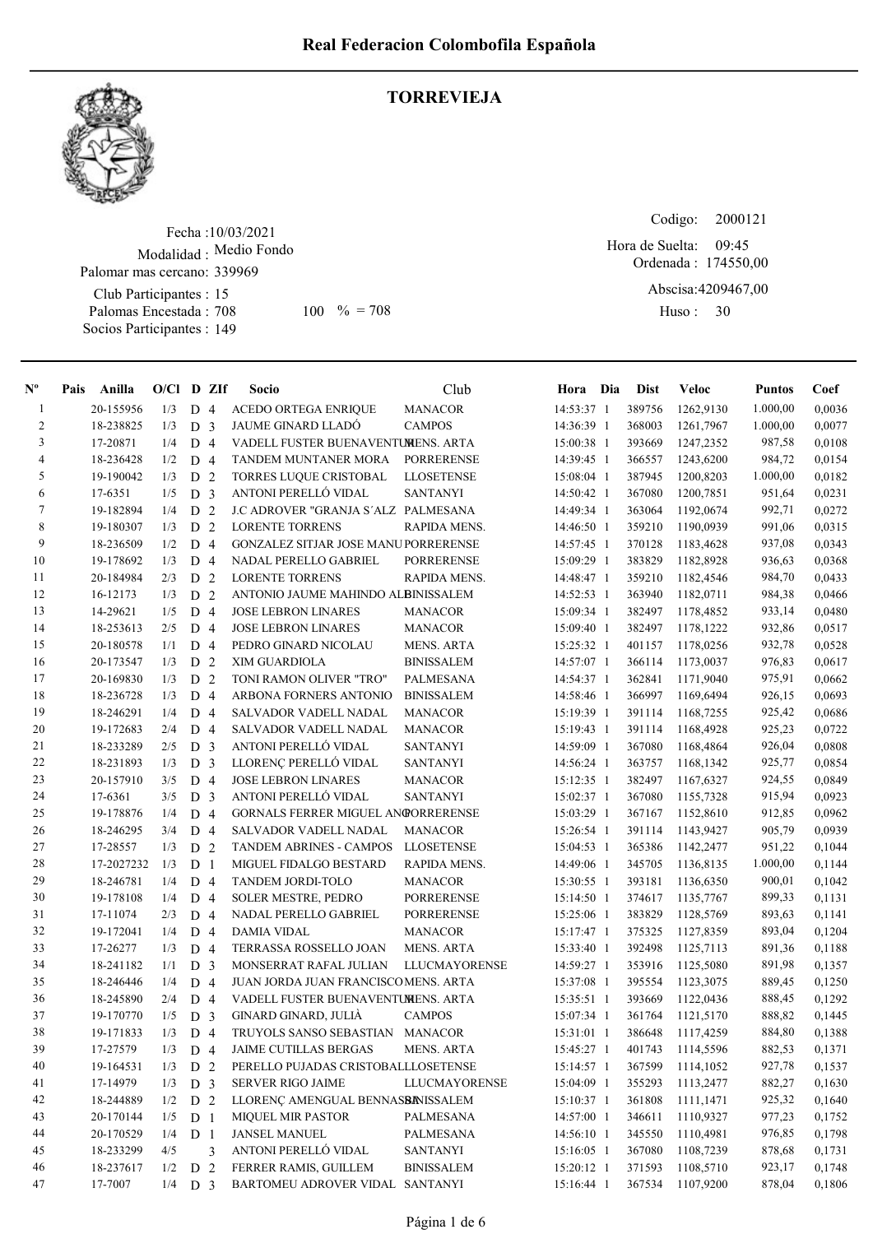

## **TORREVIEJA**

Fecha : 10/03/2021 Modalidad : Medio Fondo Palomar mas cercano: 339969

Club Participantes : 15 Palomas Encestada : Socios Participantes : 149 708 100 % = 708 Huso: 30

Codigo: Ordenada : 174550,00 Abscisa: 4209467,00 Hora de Suelta: 09:45

Huso: 30

| $N^{\circ}$      | Pais | Anilla     | $O/Cl$ D ZIf |                |                | Socio                                      | Club                 | Hora       | Dia | <b>Dist</b> | <b>Veloc</b> | <b>Puntos</b> | Coef   |
|------------------|------|------------|--------------|----------------|----------------|--------------------------------------------|----------------------|------------|-----|-------------|--------------|---------------|--------|
| $\mathbf{1}$     |      | 20-155956  | 1/3          | D <sub>4</sub> |                | <b>ACEDO ORTEGA ENRIQUE</b>                | <b>MANACOR</b>       | 14:53:37 1 |     | 389756      | 1262,9130    | 1.000,00      | 0,0036 |
| $\overline{c}$   |      | 18-238825  | 1/3          | D <sub>3</sub> |                | <b>JAUME GINARD LLADÓ</b>                  | <b>CAMPOS</b>        | 14:36:39 1 |     | 368003      | 1261,7967    | 1.000,00      | 0,0077 |
| 3                |      | 17-20871   | 1/4          | D <sub>4</sub> |                | VADELL FUSTER BUENAVENTUMENS. ARTA         |                      | 15:00:38 1 |     | 393669      | 1247,2352    | 987,58        | 0,0108 |
| $\overline{4}$   |      | 18-236428  | 1/2          | D <sub>4</sub> |                | TANDEM MUNTANER MORA                       | <b>PORRERENSE</b>    | 14:39:45 1 |     | 366557      | 1243,6200    | 984,72        | 0,0154 |
| $\sqrt{5}$       |      | 19-190042  | 1/3          | D <sub>2</sub> |                | TORRES LUQUE CRISTOBAL                     | <b>LLOSETENSE</b>    | 15:08:04 1 |     | 387945      | 1200,8203    | 1.000,00      | 0,0182 |
| 6                |      | 17-6351    | 1/5          | D <sub>3</sub> |                | ANTONI PERELLÓ VIDAL                       | <b>SANTANYI</b>      | 14:50:42 1 |     | 367080      | 1200,7851    | 951,64        | 0,0231 |
| $\boldsymbol{7}$ |      | 19-182894  | 1/4          | D <sub>2</sub> |                | J.C ADROVER "GRANJA S'ALZ PALMESANA        |                      | 14:49:34 1 |     | 363064      | 1192,0674    | 992,71        | 0,0272 |
| 8                |      | 19-180307  | 1/3          | D              | 2              | <b>LORENTE TORRENS</b>                     | RAPIDA MENS.         | 14:46:50 1 |     | 359210      | 1190,0939    | 991,06        | 0,0315 |
| 9                |      | 18-236509  | 1/2          | D 4            |                | <b>GONZALEZ SITJAR JOSE MANUPORRERENSE</b> |                      | 14:57:45 1 |     | 370128      | 1183,4628    | 937,08        | 0,0343 |
| 10               |      | 19-178692  | 1/3          | D <sub>4</sub> |                | NADAL PERELLO GABRIEL                      | PORRERENSE           | 15:09:29 1 |     | 383829      | 1182,8928    | 936,63        | 0,0368 |
| 11               |      | 20-184984  | 2/3          | D <sub>2</sub> |                | <b>LORENTE TORRENS</b>                     | RAPIDA MENS.         | 14:48:47 1 |     | 359210      | 1182,4546    | 984,70        | 0,0433 |
| 12               |      | 16-12173   | 1/3          | D 2            |                | ANTONIO JAUME MAHINDO ALBINISSALEM         |                      | 14:52:53 1 |     | 363940      | 1182,0711    | 984,38        | 0,0466 |
| 13               |      | 14-29621   | 1/5          | D <sub>4</sub> |                | <b>JOSE LEBRON LINARES</b>                 | MANACOR              | 15:09:34 1 |     | 382497      | 1178,4852    | 933,14        | 0,0480 |
| 14               |      | 18-253613  | 2/5          | D <sub>4</sub> |                | <b>JOSE LEBRON LINARES</b>                 | <b>MANACOR</b>       | 15:09:40 1 |     | 382497      | 1178,1222    | 932,86        | 0,0517 |
| 15               |      | 20-180578  | 1/1          | D <sub>4</sub> |                | PEDRO GINARD NICOLAU                       | <b>MENS. ARTA</b>    | 15:25:32 1 |     | 401157      | 1178,0256    | 932,78        | 0,0528 |
| 16               |      | 20-173547  | 1/3          | D              | $\overline{2}$ | XIM GUARDIOLA                              | <b>BINISSALEM</b>    | 14:57:07 1 |     | 366114      | 1173,0037    | 976,83        | 0,0617 |
| 17               |      | 20-169830  | 1/3          | D <sub>2</sub> |                | TONI RAMON OLIVER "TRO"                    | <b>PALMESANA</b>     | 14:54:37 1 |     | 362841      | 1171,9040    | 975,91        | 0,0662 |
| 18               |      | 18-236728  | 1/3          | D <sub>4</sub> |                | ARBONA FORNERS ANTONIO                     | <b>BINISSALEM</b>    | 14:58:46 1 |     | 366997      | 1169,6494    | 926,15        | 0,0693 |
| 19               |      | 18-246291  | 1/4          | D              | $\overline{4}$ | SALVADOR VADELL NADAL                      | <b>MANACOR</b>       | 15:19:39 1 |     | 391114      | 1168,7255    | 925,42        | 0,0686 |
| 20               |      | 19-172683  | 2/4          | D              | $\overline{4}$ | SALVADOR VADELL NADAL                      | <b>MANACOR</b>       | 15:19:43 1 |     | 391114      | 1168,4928    | 925,23        | 0,0722 |
| 21               |      | 18-233289  | 2/5          | D <sub>3</sub> |                | ANTONI PERELLÓ VIDAL                       | <b>SANTANYI</b>      | 14:59:09 1 |     | 367080      | 1168,4864    | 926,04        | 0,0808 |
| 22               |      | 18-231893  | 1/3          | D <sub>3</sub> |                | LLORENÇ PERELLÓ VIDAL                      | <b>SANTANYI</b>      | 14:56:24 1 |     | 363757      | 1168,1342    | 925,77        | 0,0854 |
| 23               |      | 20-157910  | 3/5          | D 4            |                | <b>JOSE LEBRON LINARES</b>                 | <b>MANACOR</b>       | 15:12:35 1 |     | 382497      | 1167,6327    | 924,55        | 0,0849 |
| 24               |      | 17-6361    | 3/5          | D <sub>3</sub> |                | ANTONI PERELLÓ VIDAL                       | <b>SANTANYI</b>      | 15:02:37 1 |     | 367080      | 1155,7328    | 915,94        | 0,0923 |
| 25               |      | 19-178876  | 1/4          | D <sub>4</sub> |                | GORNALS FERRER MIGUEL ANGORRERENSE         |                      | 15:03:29 1 |     | 367167      | 1152,8610    | 912,85        | 0,0962 |
| 26               |      | 18-246295  | 3/4          | D <sub>4</sub> |                | <b>SALVADOR VADELL NADAL</b>               | <b>MANACOR</b>       | 15:26:54 1 |     | 391114      | 1143,9427    | 905,79        | 0,0939 |
| 27               |      | 17-28557   | 1/3          | D <sub>2</sub> |                | <b>TANDEM ABRINES - CAMPOS</b>             | <b>LLOSETENSE</b>    | 15:04:53 1 |     | 365386      | 1142,2477    | 951,22        | 0,1044 |
| 28               |      | 17-2027232 | 1/3          | D              | 1              | MIGUEL FIDALGO BESTARD                     | RAPIDA MENS.         | 14:49:06 1 |     | 345705      | 1136,8135    | 1.000,00      | 0,1144 |
| 29               |      | 18-246781  | 1/4          | D <sub>4</sub> |                | TANDEM JORDI-TOLO                          | <b>MANACOR</b>       | 15:30:55 1 |     | 393181      | 1136,6350    | 900,01        | 0,1042 |
| 30               |      | 19-178108  | 1/4          | D <sub>4</sub> |                | <b>SOLER MESTRE, PEDRO</b>                 | PORRERENSE           | 15:14:50 1 |     | 374617      | 1135,7767    | 899,33        | 0,1131 |
| 31               |      | 17-11074   | 2/3          | D <sub>4</sub> |                | NADAL PERELLO GABRIEL                      | <b>PORRERENSE</b>    | 15:25:06 1 |     | 383829      | 1128,5769    | 893,63        | 0,1141 |
| 32               |      | 19-172041  | 1/4          | $D_4$          |                | <b>DAMIA VIDAL</b>                         | <b>MANACOR</b>       | 15:17:47 1 |     | 375325      | 1127,8359    | 893,04        | 0,1204 |
| 33               |      | 17-26277   | 1/3          | D <sub>4</sub> |                | TERRASSA ROSSELLO JOAN                     | <b>MENS. ARTA</b>    | 15:33:40 1 |     | 392498      | 1125,7113    | 891,36        | 0,1188 |
| 34               |      | 18-241182  | 1/1          | D              | 3              | MONSERRAT RAFAL JULIAN                     | LLUCMAYORENSE        | 14:59:27 1 |     | 353916      | 1125,5080    | 891,98        | 0,1357 |
| 35               |      | 18-246446  | 1/4          | D <sub>4</sub> |                | JUAN JORDA JUAN FRANCISCOMENS. ARTA        |                      | 15:37:08 1 |     | 395554      | 1123,3075    | 889,45        | 0,1250 |
| 36               |      | 18-245890  | 2/4          | D <sub>4</sub> |                | VADELL FUSTER BUENAVENTUMENS. ARTA         |                      | 15:35:51 1 |     | 393669      | 1122,0436    | 888,45        | 0,1292 |
| 37               |      | 19-170770  | 1/5          | D <sub>3</sub> |                | GINARD GINARD, JULIÀ                       | <b>CAMPOS</b>        | 15:07:34 1 |     | 361764      | 1121,5170    | 888,82        | 0,1445 |
| 38               |      | 19-171833  | 1/3          | D <sub>4</sub> |                | TRUYOLS SANSO SEBASTIAN MANACOR            |                      | 15:31:01 1 |     | 386648      | 1117,4259    | 884,80        | 0,1388 |
| 39               |      | 17-27579   | 1/3          | D 4            |                | <b>JAIME CUTILLAS BERGAS</b>               | MENS. ARTA           | 15:45:27 1 |     | 401743      | 1114,5596    | 882,53        | 0,1371 |
| 40               |      | 19-164531  | 1/3          | D 2            |                | PERELLO PUJADAS CRISTOBALLLOSETENSE        |                      | 15:14:57 1 |     | 367599      | 1114,1052    | 927,78        | 0,1537 |
| 41               |      | 17-14979   | 1/3          | D <sub>3</sub> |                | <b>SERVER RIGO JAIME</b>                   | <b>LLUCMAYORENSE</b> | 15:04:09 1 |     | 355293      | 1113,2477    | 882,27        | 0,1630 |
| 42               |      | 18-244889  | 1/2          | D <sub>2</sub> |                | LLORENÇ AMENGUAL BENNASBANISSALEM          |                      | 15:10:37 1 |     | 361808      | 1111,1471    | 925,32        | 0,1640 |
| 43               |      | 20-170144  | 1/5          | D <sub>1</sub> |                | <b>MIQUEL MIR PASTOR</b>                   | PALMESANA            | 14:57:00 1 |     | 346611      | 1110,9327    | 977,23        | 0,1752 |
| 44               |      | 20-170529  | 1/4          | D <sub>1</sub> |                | <b>JANSEL MANUEL</b>                       | PALMESANA            | 14:56:10 1 |     | 345550      | 1110,4981    | 976,85        | 0,1798 |
| 45               |      | 18-233299  | 4/5          |                | 3              | ANTONI PERELLÓ VIDAL                       | <b>SANTANYI</b>      | 15:16:05 1 |     | 367080      | 1108,7239    | 878,68        | 0,1731 |
| 46               |      | 18-237617  | 1/2          | D 2            |                | FERRER RAMIS, GUILLEM                      | <b>BINISSALEM</b>    | 15:20:12 1 |     | 371593      | 1108,5710    | 923,17        | 0,1748 |
| 47               |      | 17-7007    | $1/4$ D 3    |                |                | BARTOMEU ADROVER VIDAL SANTANYI            |                      | 15:16:44 1 |     | 367534      | 1107,9200    | 878,04        | 0,1806 |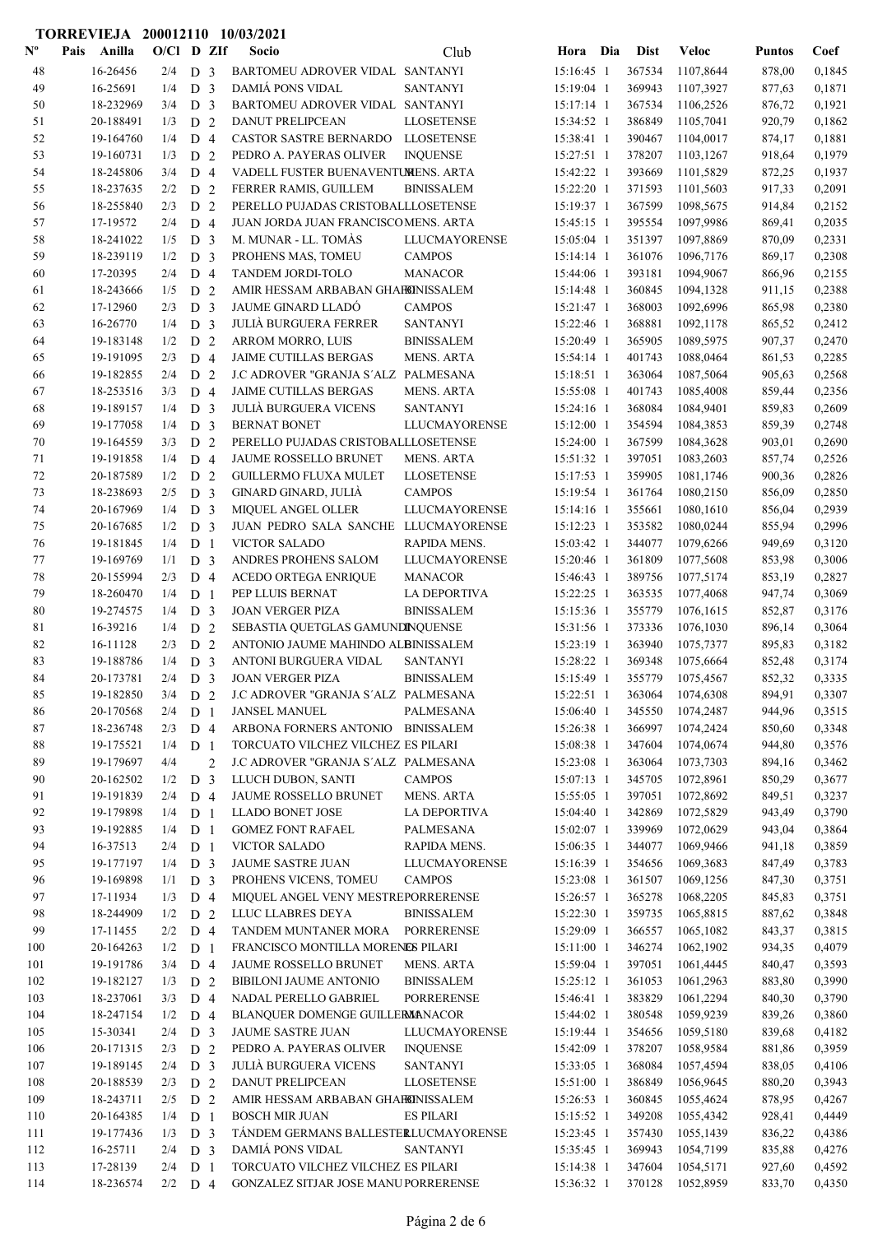|                           | TORREVIEJA 200012110 10/03/2021 |                  |                                  |   |                                                             |                                       |                          |                  |                        |                  |                  |
|---------------------------|---------------------------------|------------------|----------------------------------|---|-------------------------------------------------------------|---------------------------------------|--------------------------|------------------|------------------------|------------------|------------------|
| $\mathbf{N}^{\mathbf{o}}$ | Pais<br>Anilla                  | O/Cl D ZIf       |                                  |   | Socio                                                       | Club                                  | Hora Dia                 | <b>Dist</b>      | <b>Veloc</b>           | <b>Puntos</b>    | Coef             |
| 48                        | 16-26456                        | 2/4              | D <sub>3</sub>                   |   | BARTOMEU ADROVER VIDAL SANTANYI                             |                                       | 15:16:45 1               | 367534           | 1107,8644              | 878,00           | 0,1845           |
| 49                        | 16-25691                        | 1/4              | D <sub>3</sub>                   |   | <b>DAMIÁ PONS VIDAL</b>                                     | <b>SANTANYI</b>                       | 15:19:04 1               | 369943           | 1107,3927              | 877,63           | 0,1871           |
| 50                        | 18-232969                       | 3/4              | D <sub>3</sub>                   |   | BARTOMEU ADROVER VIDAL SANTANYI                             |                                       | $15:17:14$ 1             | 367534           | 1106,2526              | 876,72           | 0,1921           |
| 51                        | 20-188491                       | 1/3              | D <sub>2</sub>                   |   | DANUT PRELIPCEAN                                            | <b>LLOSETENSE</b>                     | 15:34:52 1               | 386849           | 1105,7041              | 920,79           | 0,1862           |
| 52                        | 19-164760                       | 1/4              | D <sub>4</sub>                   |   | CASTOR SASTRE BERNARDO                                      | <b>LLOSETENSE</b>                     | 15:38:41 1               | 390467           | 1104,0017              | 874,17           | 0,1881           |
| 53                        | 19-160731                       | 1/3              | D <sub>2</sub>                   |   | PEDRO A. PAYERAS OLIVER                                     | <b>INQUENSE</b>                       | 15:27:51 1               | 378207           | 1103,1267              | 918,64           | 0,1979           |
| 54                        | 18-245806                       | 3/4              | D <sub>4</sub>                   |   | VADELL FUSTER BUENAVENTUMENS. ARTA                          |                                       | 15:42:22 1               | 393669           | 1101,5829              | 872,25           | 0,1937           |
| 55                        | 18-237635                       | 2/2              | D 2                              |   | FERRER RAMIS, GUILLEM                                       | <b>BINISSALEM</b>                     | 15:22:20 1               | 371593           | 1101,5603              | 917,33           | 0,2091           |
| 56                        | 18-255840                       | 2/3              | D <sub>2</sub>                   |   | PERELLO PUJADAS CRISTOBALLLOSETENSE                         |                                       | 15:19:37 1               | 367599           | 1098,5675              | 914,84           | 0,2152           |
| 57<br>58                  | 17-19572<br>18-241022           | 2/4<br>1/5       | D <sub>4</sub><br>D <sub>3</sub> |   | JUAN JORDA JUAN FRANCISCOMENS. ARTA<br>M. MUNAR - LL. TOMÀS | <b>LLUCMAYORENSE</b>                  | 15:45:15 1<br>15:05:04 1 | 395554<br>351397 | 1097,9986<br>1097,8869 | 869,41<br>870,09 | 0,2035<br>0,2331 |
| 59                        | 18-239119                       | 1/2              | D <sub>3</sub>                   |   | PROHENS MAS, TOMEU                                          | <b>CAMPOS</b>                         | $15:14:14$ 1             | 361076           | 1096,7176              | 869,17           | 0,2308           |
| 60                        | 17-20395                        | 2/4              | D <sub>4</sub>                   |   | TANDEM JORDI-TOLO                                           | <b>MANACOR</b>                        | 15:44:06 1               | 393181           | 1094,9067              | 866,96           | 0,2155           |
| 61                        | 18-243666                       | 1/5              | D <sub>2</sub>                   |   | AMIR HESSAM ARBABAN GHAFEINISSALEM                          |                                       | 15:14:48 1               | 360845           | 1094,1328              | 911,15           | 0,2388           |
| 62                        | 17-12960                        | 2/3              | D <sub>3</sub>                   |   | <b>JAUME GINARD LLADÓ</b>                                   | <b>CAMPOS</b>                         | 15:21:47 1               | 368003           | 1092,6996              | 865,98           | 0,2380           |
| 63                        | 16-26770                        | 1/4              | D <sub>3</sub>                   |   | <b>JULIÀ BURGUERA FERRER</b>                                | <b>SANTANYI</b>                       | 15:22:46 1               | 368881           | 1092,1178              | 865,52           | 0,2412           |
| 64                        | 19-183148                       | 1/2              | D <sub>2</sub>                   |   | ARROM MORRO, LUIS                                           | <b>BINISSALEM</b>                     | 15:20:49 1               | 365905           | 1089,5975              | 907,37           | 0,2470           |
| 65                        | 19-191095                       | 2/3              | D <sub>4</sub>                   |   | <b>JAIME CUTILLAS BERGAS</b>                                | <b>MENS. ARTA</b>                     | $15:54:14$ 1             | 401743           | 1088,0464              | 861,53           | 0,2285           |
| 66                        | 19-182855                       | 2/4              | D <sub>2</sub>                   |   | J.C ADROVER "GRANJA S'ALZ PALMESANA                         |                                       | 15:18:51 1               | 363064           | 1087,5064              | 905,63           | 0,2568           |
| 67                        | 18-253516                       | 3/3              | D <sub>4</sub>                   |   | JAIME CUTILLAS BERGAS                                       | <b>MENS. ARTA</b>                     | 15:55:08 1               | 401743           | 1085,4008              | 859,44           | 0,2356           |
| 68                        | 19-189157                       | 1/4              | D <sub>3</sub>                   |   | <b>JULIÀ BURGUERA VICENS</b>                                | <b>SANTANYI</b>                       | 15:24:16 1               | 368084           | 1084,9401              | 859,83           | 0,2609           |
| 69                        | 19-177058                       | 1/4              | D <sub>3</sub>                   |   | <b>BERNAT BONET</b>                                         | <b>LLUCMAYORENSE</b>                  | 15:12:00 1               | 354594           | 1084,3853              | 859,39           | 0,2748           |
| 70                        | 19-164559                       | 3/3              | D <sub>2</sub>                   |   | PERELLO PUJADAS CRISTOBALLLOSETENSE                         |                                       | 15:24:00 1               | 367599           | 1084,3628              | 903,01           | 0,2690           |
| 71                        | 19-191858                       | 1/4              | D <sub>4</sub>                   |   | JAUME ROSSELLO BRUNET                                       | <b>MENS. ARTA</b>                     | 15:51:32 1               | 397051           | 1083,2603              | 857,74           | 0,2526           |
| 72                        | 20-187589                       | 1/2              | D <sub>2</sub>                   |   | <b>GUILLERMO FLUXA MULET</b>                                | <b>LLOSETENSE</b>                     | 15:17:53 1               | 359905           | 1081,1746              | 900,36           | 0,2826           |
| 73                        | 18-238693                       | 2/5              | D <sub>3</sub>                   |   | GINARD GINARD, JULIÀ                                        | <b>CAMPOS</b>                         | 15:19:54 1               | 361764           | 1080,2150              | 856,09           | 0,2850           |
| 74                        | 20-167969                       | 1/4              | D <sub>3</sub>                   |   | <b>MIQUEL ANGEL OLLER</b>                                   | LLUCMAYORENSE                         | $15:14:16$ 1             | 355661           | 1080,1610              | 856,04           | 0,2939           |
| 75                        | 20-167685                       | 1/2              | D <sub>3</sub>                   |   | JUAN PEDRO SALA SANCHE LLUCMAYORENSE                        |                                       | 15:12:23 1               | 353582           | 1080,0244              | 855,94           | 0,2996           |
| 76                        | 19-181845                       | 1/4              | D <sub>1</sub>                   |   | <b>VICTOR SALADO</b>                                        | RAPIDA MENS.                          | 15:03:42 1               | 344077           | 1079,6266              | 949,69           | 0,3120           |
| 77                        | 19-169769                       | 1/1              | D <sub>3</sub>                   |   | ANDRES PROHENS SALOM                                        | <b>LLUCMAYORENSE</b>                  | 15:20:46 1               | 361809           | 1077,5608              | 853,98           | 0,3006           |
| 78<br>79                  | 20-155994<br>18-260470          | 2/3<br>1/4       | D <sub>4</sub><br>D <sub>1</sub> |   | ACEDO ORTEGA ENRIQUE<br>PEP LLUIS BERNAT                    | <b>MANACOR</b><br><b>LA DEPORTIVA</b> | 15:46:43 1<br>15:22:25 1 | 389756<br>363535 | 1077,5174<br>1077,4068 | 853,19           | 0,2827<br>0,3069 |
| 80                        | 19-274575                       | 1/4              | D <sub>3</sub>                   |   | <b>JOAN VERGER PIZA</b>                                     | <b>BINISSALEM</b>                     | 15:15:36 1               | 355779           | 1076,1615              | 947,74<br>852,87 | 0,3176           |
| 81                        | 16-39216                        | 1/4              | D 2                              |   | SEBASTIA QUETGLAS GAMUNDINQUENSE                            |                                       | 15:31:56 1               | 373336           | 1076,1030              | 896,14           | 0,3064           |
| 82                        | 16-11128                        | 2/3              | D <sub>2</sub>                   |   | ANTONIO JAUME MAHINDO ALBINISSALEM                          |                                       | 15:23:19 1               | 363940           | 1075,7377              | 895,83           | 0,3182           |
| 83                        | 19-188786                       | 1/4              | D <sub>3</sub>                   |   | <b>ANTONI BURGUERA VIDAL</b>                                | <b>SANTANYI</b>                       | 15:28:22 1               | 369348           | 1075,6664              | 852,48           | 0,3174           |
| 84                        | 20-173781                       | $2/4$ D $3$      |                                  |   | <b>JOAN VERGER PIZA</b>                                     | <b>BINISSALEM</b>                     | 15:15:49 1               | 355779           | 1075,4567              | 852,32           | 0,3335           |
| 85                        | 19-182850                       | 3/4              | D 2                              |   | J.C ADROVER "GRANJA S'ALZ PALMESANA                         |                                       | 15:22:51 1               | 363064           | 1074,6308              | 894,91           | 0,3307           |
| 86                        | 20-170568                       | 2/4              | D <sub>1</sub>                   |   | <b>JANSEL MANUEL</b>                                        | PALMESANA                             | 15:06:40 1               | 345550           | 1074,2487              | 944,96           | 0,3515           |
| $87\,$                    | 18-236748                       | 2/3              | D 4                              |   | ARBONA FORNERS ANTONIO BINISSALEM                           |                                       | 15:26:38 1               | 366997           | 1074,2424              | 850,60           | 0,3348           |
| $\bf 88$                  | 19-175521                       | 1/4              | D <sub>1</sub>                   |   | TORCUATO VILCHEZ VILCHEZ ES PILARI                          |                                       | 15:08:38 1               | 347604           | 1074,0674              | 944,80           | 0,3576           |
| 89                        | 19-179697                       | 4/4              |                                  | 2 | J.C ADROVER "GRANJA S'ALZ PALMESANA                         |                                       | 15:23:08 1               | 363064           | 1073,7303              | 894,16           | 0,3462           |
| 90                        | 20-162502                       | 1/2              | D <sub>3</sub>                   |   | LLUCH DUBON, SANTI                                          | <b>CAMPOS</b>                         | 15:07:13 1               | 345705           | 1072,8961              | 850,29           | 0,3677           |
| 91                        | 19-191839                       | 2/4              | D <sub>4</sub>                   |   | JAUME ROSSELLO BRUNET                                       | <b>MENS. ARTA</b>                     | 15:55:05 1               | 397051           | 1072,8692              | 849,51           | 0,3237           |
| 92                        | 19-179898                       | 1/4              | D <sub>1</sub>                   |   | <b>LLADO BONET JOSE</b>                                     | LA DEPORTIVA                          | 15:04:40 1               | 342869           | 1072,5829              | 943,49           | 0,3790           |
| 93                        | 19-192885                       | 1/4              | D <sub>1</sub>                   |   | <b>GOMEZ FONT RAFAEL</b>                                    | PALMESANA                             | 15:02:07 1               | 339969           | 1072,0629              | 943,04           | 0,3864           |
| 94                        | 16-37513                        | 2/4              | D <sub>1</sub>                   |   | <b>VICTOR SALADO</b>                                        | RAPIDA MENS.                          | 15:06:35 1               | 344077           | 1069,9466              | 941,18           | 0,3859           |
| 95                        | 19-177197                       | $1/4$ D 3        |                                  |   | <b>JAUME SASTRE JUAN</b>                                    | <b>LLUCMAYORENSE</b>                  | 15:16:39 1               | 354656           | 1069,3683              | 847,49           | 0,3783           |
| 96<br>97                  | 19-169898<br>17-11934           | $1/1$ D 3<br>1/3 | D <sub>4</sub>                   |   | PROHENS VICENS, TOMEU<br>MIQUEL ANGEL VENY MESTREPORRERENSE | <b>CAMPOS</b>                         | 15:23:08 1<br>15:26:57 1 | 361507<br>365278 | 1069,1256<br>1068,2205 | 847,30<br>845,83 | 0,3751<br>0,3751 |
| 98                        | 18-244909                       | 1/2              | D 2                              |   | LLUC LLABRES DEYA                                           | <b>BINISSALEM</b>                     | 15:22:30 1               | 359735           | 1065,8815              | 887,62           | 0,3848           |
| 99                        | 17-11455                        | 2/2              | D <sub>4</sub>                   |   | TANDEM MUNTANER MORA                                        | <b>PORRERENSE</b>                     | 15:29:09 1               | 366557           | 1065,1082              | 843,37           | 0,3815           |
| 100                       | 20-164263                       | 1/2              | D <sub>1</sub>                   |   | FRANCISCO MONTILLA MORENES PILARI                           |                                       | 15:11:00 1               | 346274           | 1062,1902              | 934,35           | 0,4079           |
| 101                       | 19-191786                       | 3/4              | D <sub>4</sub>                   |   | JAUME ROSSELLO BRUNET                                       | <b>MENS. ARTA</b>                     | 15:59:04 1               | 397051           | 1061,4445              | 840,47           | 0,3593           |
| 102                       | 19-182127                       | $1/3$ D 2        |                                  |   | <b>BIBILONI JAUME ANTONIO</b>                               | <b>BINISSALEM</b>                     | $15:25:12$ 1             | 361053           | 1061,2963              | 883,80           | 0,3990           |
| 103                       | 18-237061                       | $3/3$ D 4        |                                  |   | NADAL PERELLO GABRIEL                                       | <b>PORRERENSE</b>                     | 15:46:41 1               | 383829           | 1061,2294              | 840,30           | 0,3790           |
| 104                       | 18-247154                       | 1/2              | D <sub>4</sub>                   |   | BLANQUER DOMENGE GUILLERMANACOR                             |                                       | 15:44:02 1               | 380548           | 1059,9239              | 839,26           | 0,3860           |
| 105                       | 15-30341                        | 2/4              | D <sub>3</sub>                   |   | JAUME SASTRE JUAN                                           | LLUCMAYORENSE                         | 15:19:44 1               | 354656           | 1059,5180              | 839,68           | 0,4182           |
| 106                       | 20-171315                       | 2/3              | D <sub>2</sub>                   |   | PEDRO A. PAYERAS OLIVER                                     | <b>INQUENSE</b>                       | 15:42:09 1               | 378207           | 1058,9584              | 881,86           | 0,3959           |
| 107                       | 19-189145                       | 2/4              | D <sub>3</sub>                   |   | <b>JULIÀ BURGUERA VICENS</b>                                | <b>SANTANYI</b>                       | 15:33:05 1               | 368084           | 1057,4594              | 838,05           | 0,4106           |
| 108                       | 20-188539                       | $2/3$ D 2        |                                  |   | DANUT PRELIPCEAN                                            | <b>LLOSETENSE</b>                     | 15:51:00 1               | 386849           | 1056,9645              | 880,20           | 0,3943           |
| 109                       | 18-243711                       | $2/5$ D 2        |                                  |   | AMIR HESSAM ARBABAN GHAFEINISSALEM                          |                                       | 15:26:53 1               | 360845           | 1055,4624              | 878,95           | 0,4267           |
| 110                       | 20-164385                       | 1/4              | D <sub>1</sub>                   |   | <b>BOSCH MIR JUAN</b>                                       | <b>ES PILARI</b>                      | 15:15:52 1               | 349208           | 1055,4342              | 928,41           | 0,4449           |
| 111                       | 19-177436                       | 1/3              | D <sub>3</sub>                   |   | TÁNDEM GERMANS BALLESTERLUCMAYORENSE                        |                                       | 15:23:45 1               | 357430           | 1055,1439              | 836,22           | 0,4386           |
| 112                       | 16-25711                        | 2/4              | D <sub>3</sub>                   |   | <b>DAMIÁ PONS VIDAL</b>                                     | <b>SANTANYI</b>                       | 15:35:45 1               | 369943           | 1054,7199              | 835,88           | 0,4276           |
| 113                       | 17-28139                        | $2/4$ D 1        |                                  |   | TORCUATO VILCHEZ VILCHEZ ES PILARI                          |                                       | 15:14:38 1               | 347604           | 1054,5171              | 927,60           | 0,4592           |
| 114                       | 18-236574                       | $2/2$ D 4        |                                  |   | GONZALEZ SITJAR JOSE MANUPORRERENSE                         |                                       | 15:36:32 1               | 370128           | 1052,8959              | 833,70           | 0,4350           |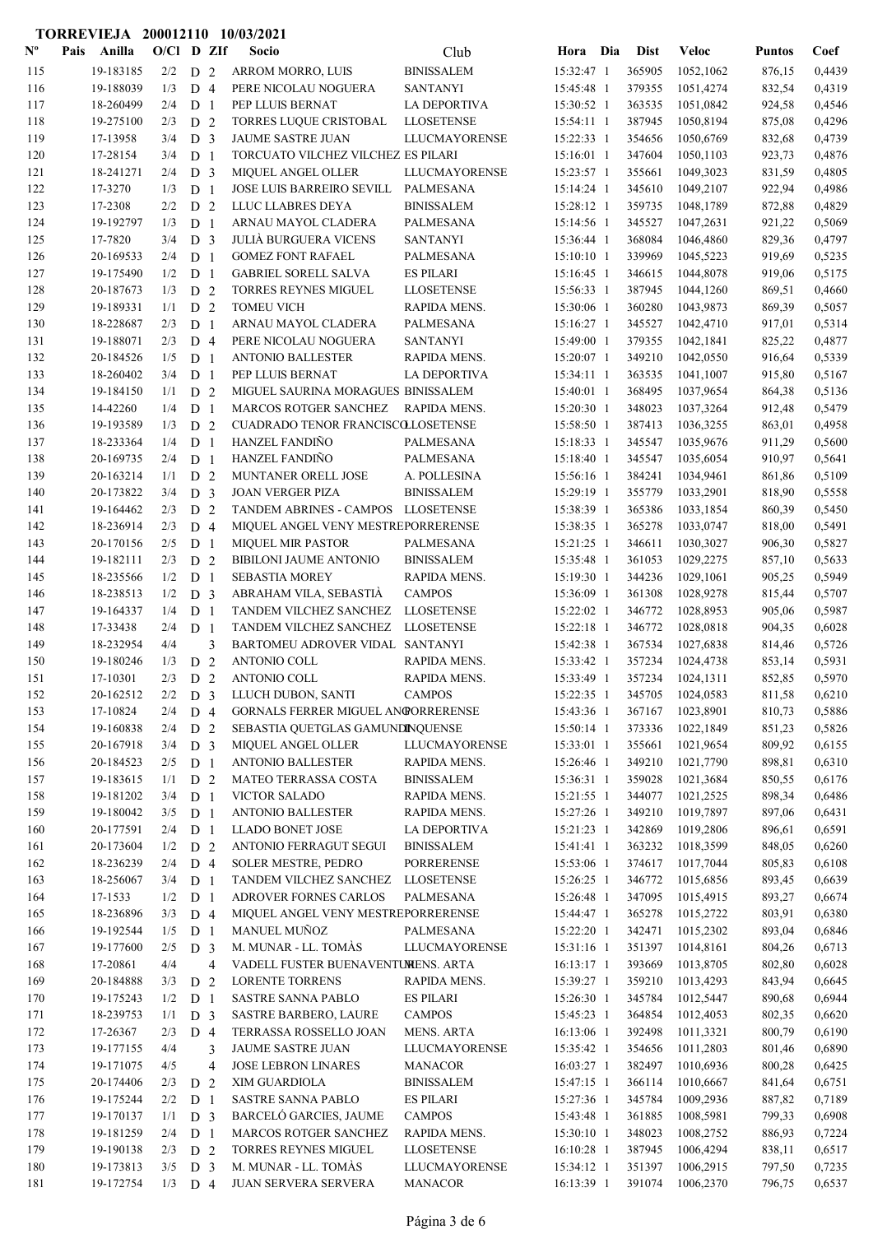|                           |      |                        |              |                                  |   | TORREVIEJA 200012110 10/03/2021                           |                                    |                          |     |                  |                        |                  |                  |
|---------------------------|------|------------------------|--------------|----------------------------------|---|-----------------------------------------------------------|------------------------------------|--------------------------|-----|------------------|------------------------|------------------|------------------|
| $\mathbf{N}^{\mathbf{o}}$ | Pais | Anilla                 | $O/C1$ D ZIf |                                  |   | Socio                                                     | Club                               | Hora                     | Dia | <b>Dist</b>      | <b>Veloc</b>           | <b>Puntos</b>    | Coef             |
| 115                       |      | 19-183185              | 2/2          | D <sub>2</sub>                   |   | ARROM MORRO, LUIS                                         | <b>BINISSALEM</b>                  | 15:32:47 1               |     | 365905           | 1052,1062              | 876,15           | 0,4439           |
| 116                       |      | 19-188039              | 1/3          | D <sub>4</sub>                   |   | PERE NICOLAU NOGUERA                                      | <b>SANTANYI</b>                    | 15:45:48 1               |     | 379355           | 1051,4274              | 832,54           | 0,4319           |
| 117                       |      | 18-260499              | 2/4          | D <sub>1</sub>                   |   | PEP LLUIS BERNAT                                          | LA DEPORTIVA                       | 15:30:52 1               |     | 363535           | 1051,0842              | 924,58           | 0,4546           |
| 118                       |      | 19-275100              | 2/3          | D <sub>2</sub>                   |   | TORRES LUQUE CRISTOBAL                                    | <b>LLOSETENSE</b>                  | 15:54:11 1               |     | 387945           | 1050,8194              | 875,08           | 0,4296           |
| 119                       |      | 17-13958               | 3/4          | D <sub>3</sub>                   |   | JAUME SASTRE JUAN                                         | <b>LLUCMAYORENSE</b>               | 15:22:33 1               |     | 354656           | 1050,6769              | 832,68           | 0,4739           |
| 120                       |      | 17-28154               | 3/4          | D <sub>1</sub>                   |   | TORCUATO VILCHEZ VILCHEZ ES PILARI                        |                                    | 15:16:01 1               |     | 347604           | 1050,1103              | 923,73           | 0,4876           |
| 121                       |      | 18-241271              | 2/4          | D <sub>3</sub>                   |   | <b>MIQUEL ANGEL OLLER</b>                                 | LLUCMAYORENSE                      | 15:23:57 1               |     | 355661           | 1049,3023              | 831,59           | 0,4805           |
| 122                       |      | 17-3270                | 1/3          | D <sub>1</sub>                   |   | JOSE LUIS BARREIRO SEVILL                                 | PALMESANA                          | 15:14:24 1               |     | 345610           | 1049,2107              | 922,94           | 0,4986           |
| 123                       |      | 17-2308                | 2/2          | D <sub>2</sub>                   |   | LLUC LLABRES DEYA                                         | <b>BINISSALEM</b>                  | 15:28:12 1               |     | 359735           | 1048,1789              | 872,88           | 0,4829           |
| 124<br>125                |      | 19-192797<br>17-7820   | 1/3<br>3/4   | D <sub>1</sub>                   |   | ARNAU MAYOL CLADERA<br><b>JULIÀ BURGUERA VICENS</b>       | PALMESANA<br><b>SANTANYI</b>       | 15:14:56 1<br>15:36:44 1 |     | 345527<br>368084 | 1047,2631              | 921,22<br>829,36 | 0,5069<br>0,4797 |
| 126                       |      | 20-169533              | 2/4          | D <sub>3</sub><br>D <sub>1</sub> |   | <b>GOMEZ FONT RAFAEL</b>                                  | PALMESANA                          | 15:10:10 1               |     | 339969           | 1046,4860<br>1045,5223 | 919,69           | 0,5235           |
| 127                       |      | 19-175490              | 1/2          | D <sub>1</sub>                   |   | <b>GABRIEL SORELL SALVA</b>                               | <b>ES PILARI</b>                   | 15:16:45 1               |     | 346615           | 1044,8078              | 919,06           | 0,5175           |
| 128                       |      | 20-187673              | 1/3          | D <sub>2</sub>                   |   | TORRES REYNES MIGUEL                                      | <b>LLOSETENSE</b>                  | 15:56:33 1               |     | 387945           | 1044,1260              | 869,51           | 0,4660           |
| 129                       |      | 19-189331              | 1/1          | D <sub>2</sub>                   |   | <b>TOMEU VICH</b>                                         | RAPIDA MENS.                       | 15:30:06 1               |     | 360280           | 1043,9873              | 869,39           | 0,5057           |
| 130                       |      | 18-228687              | 2/3          | D <sub>1</sub>                   |   | ARNAU MAYOL CLADERA                                       | PALMESANA                          | 15:16:27 1               |     | 345527           | 1042,4710              | 917,01           | 0,5314           |
| 131                       |      | 19-188071              | 2/3          | $D_4$                            |   | PERE NICOLAU NOGUERA                                      | <b>SANTANYI</b>                    | 15:49:00 1               |     | 379355           | 1042,1841              | 825,22           | 0,4877           |
| 132                       |      | 20-184526              | 1/5          | D <sub>1</sub>                   |   | <b>ANTONIO BALLESTER</b>                                  | RAPIDA MENS.                       | 15:20:07 1               |     | 349210           | 1042,0550              | 916,64           | 0,5339           |
| 133                       |      | 18-260402              | 3/4          | D <sub>1</sub>                   |   | PEP LLUIS BERNAT                                          | LA DEPORTIVA                       | 15:34:11 1               |     | 363535           | 1041,1007              | 915,80           | 0,5167           |
| 134                       |      | 19-184150              | 1/1          | D <sub>2</sub>                   |   | MIGUEL SAURINA MORAGUES BINISSALEM                        |                                    | 15:40:01 1               |     | 368495           | 1037,9654              | 864,38           | 0,5136           |
| 135                       |      | 14-42260               | 1/4          | D <sub>1</sub>                   |   | <b>MARCOS ROTGER SANCHEZ</b>                              | <b>RAPIDA MENS.</b>                | 15:20:30 1               |     | 348023           | 1037,3264              | 912,48           | 0,5479           |
| 136                       |      | 19-193589              | 1/3          | D <sub>2</sub>                   |   | CUADRADO TENOR FRANCISCOLLOSETENSE                        |                                    | 15:58:50 1               |     | 387413           | 1036,3255              | 863,01           | 0,4958           |
| 137                       |      | 18-233364              | 1/4          | D <sub>1</sub>                   |   | HANZEL FANDIÑO                                            | PALMESANA                          | 15:18:33 1               |     | 345547           | 1035,9676              | 911,29           | 0,5600           |
| 138                       |      | 20-169735              | 2/4          | D <sub>1</sub>                   |   | <b>HANZEL FANDIÑO</b>                                     | <b>PALMESANA</b>                   | 15:18:40 1               |     | 345547           | 1035,6054              | 910,97           | 0,5641           |
| 139                       |      | 20-163214              | 1/1          | D <sub>2</sub>                   |   | MUNTANER ORELL JOSE                                       | A. POLLESINA                       | 15:56:16 1               |     | 384241           | 1034,9461              | 861,86           | 0,5109           |
| 140                       |      | 20-173822              | 3/4          | D <sub>3</sub>                   |   | <b>JOAN VERGER PIZA</b>                                   | <b>BINISSALEM</b>                  | 15:29:19 1               |     | 355779           | 1033,2901              | 818,90           | 0,5558           |
| 141                       |      | 19-164462              | 2/3          | D <sub>2</sub>                   |   | TANDEM ABRINES - CAMPOS LLOSETENSE                        |                                    | 15:38:39 1               |     | 365386           | 1033,1854              | 860,39           | 0,5450           |
| 142                       |      | 18-236914              | 2/3          | D 4                              |   | MIQUEL ANGEL VENY MESTREPORRERENSE                        |                                    | 15:38:35 1               |     | 365278           | 1033,0747              | 818,00           | 0,5491           |
| 143                       |      | 20-170156              | 2/5          | D <sub>1</sub>                   |   | <b>MIQUEL MIR PASTOR</b>                                  | <b>PALMESANA</b>                   | 15:21:25 1               |     | 346611           | 1030,3027              | 906,30           | 0,5827           |
| 144                       |      | 19-182111              | 2/3          | D <sub>2</sub>                   |   | <b>BIBILONI JAUME ANTONIO</b>                             | <b>BINISSALEM</b>                  | 15:35:48 1               |     | 361053           | 1029,2275              | 857,10           | 0,5633           |
| 145                       |      | 18-235566              | 1/2          | D <sub>1</sub>                   |   | <b>SEBASTIA MOREY</b>                                     | RAPIDA MENS.                       | 15:19:30 1               |     | 344236           | 1029,1061              | 905,25           | 0,5949           |
| 146<br>147                |      | 18-238513<br>19-164337 | 1/2<br>1/4   | D <sub>3</sub>                   |   | ABRAHAM VILA, SEBASTIA<br>TANDEM VILCHEZ SANCHEZ          | <b>CAMPOS</b><br><b>LLOSETENSE</b> | 15:36:09 1<br>15:22:02 1 |     | 361308<br>346772 | 1028,9278<br>1028,8953 | 815,44           | 0,5707<br>0,5987 |
| 148                       |      | 17-33438               | 2/4          | D <sub>1</sub><br>D <sub>1</sub> |   | TANDEM VILCHEZ SANCHEZ                                    | <b>LLOSETENSE</b>                  | 15:22:18 1               |     | 346772           | 1028,0818              | 905,06<br>904,35 | 0,6028           |
| 149                       |      | 18-232954              | 4/4          |                                  | 3 | BARTOMEU ADROVER VIDAL SANTANYI                           |                                    | 15:42:38 1               |     | 367534           | 1027,6838              | 814,46           | 0,5726           |
| 150                       |      | 19-180246              | 1/3          | D <sub>2</sub>                   |   | <b>ANTONIO COLL</b>                                       | RAPIDA MENS.                       | 15:33:42 1               |     | 357234           | 1024,4738              | 853,14           | 0,5931           |
| 151                       |      | 17-10301               | 2/3          | D <sub>2</sub>                   |   | ANTONIO COLL                                              | RAPIDA MENS.                       | 15:33:49 1               |     | 357234           | 1024,1311              | 852,85           | 0,5970           |
| 152                       |      | 20-162512              | 2/2          | D <sub>3</sub>                   |   | LLUCH DUBON, SANTI                                        | <b>CAMPOS</b>                      | 15:22:35 1               |     | 345705           | 1024,0583              | 811,58           | 0,6210           |
| 153                       |      | 17-10824               | 2/4          | D 4                              |   | GORNALS FERRER MIGUEL ANGORRERENSE                        |                                    | 15:43:36 1               |     | 367167           | 1023,8901              | 810,73           | 0,5886           |
| 154                       |      | 19-160838              | 2/4          | D <sub>2</sub>                   |   | SEBASTIA QUETGLAS GAMUNDINQUENSE                          |                                    | 15:50:14 1               |     | 373336           | 1022,1849              | 851,23           | 0,5826           |
| 155                       |      | 20-167918              | 3/4          | D <sub>3</sub>                   |   | MIQUEL ANGEL OLLER                                        | LLUCMAYORENSE                      | 15:33:01 1               |     | 355661           | 1021,9654              | 809,92           | 0,6155           |
| 156                       |      | 20-184523              | 2/5          | D <sub>1</sub>                   |   | <b>ANTONIO BALLESTER</b>                                  | RAPIDA MENS.                       | 15:26:46 1               |     | 349210           | 1021,7790              | 898,81           | 0,6310           |
| 157                       |      | 19-183615              | 1/1          | D 2                              |   | MATEO TERRASSA COSTA                                      | <b>BINISSALEM</b>                  | 15:36:31 1               |     | 359028           | 1021,3684              | 850,55           | 0,6176           |
| 158                       |      | 19-181202              | 3/4          | D <sub>1</sub>                   |   | <b>VICTOR SALADO</b>                                      | RAPIDA MENS.                       | 15:21:55 1               |     | 344077           | 1021,2525              | 898,34           | 0,6486           |
| 159                       |      | 19-180042              | 3/5          | D <sub>1</sub>                   |   | <b>ANTONIO BALLESTER</b>                                  | RAPIDA MENS.                       | 15:27:26 1               |     | 349210           | 1019,7897              | 897,06           | 0,6431           |
| 160                       |      | 20-177591              | 2/4          | D <sub>1</sub>                   |   | LLADO BONET JOSE                                          | LA DEPORTIVA                       | 15:21:23 1               |     | 342869           | 1019,2806              | 896,61           | 0,6591           |
| 161                       |      | 20-173604              | 1/2          | D 2                              |   | ANTONIO FERRAGUT SEGUI                                    | <b>BINISSALEM</b>                  | 15:41:41 1               |     | 363232           | 1018,3599              | 848,05           | 0,6260           |
| 162                       |      | 18-236239              | 2/4          | D 4                              |   | <b>SOLER MESTRE, PEDRO</b>                                | <b>PORRERENSE</b>                  | 15:53:06 1               |     | 374617           | 1017,7044              | 805,83           | 0,6108           |
| 163                       |      | 18-256067              | 3/4          | D <sub>1</sub>                   |   | TANDEM VILCHEZ SANCHEZ                                    | <b>LLOSETENSE</b>                  | 15:26:25 1               |     | 346772           | 1015,6856              | 893,45           | 0,6639           |
| 164                       |      | 17-1533                | 1/2          | D <sub>1</sub>                   |   | ADROVER FORNES CARLOS                                     | PALMESANA                          | 15:26:48 1               |     | 347095           | 1015,4915              | 893,27           | 0,6674           |
| 165<br>166                |      | 18-236896<br>19-192544 | 3/3<br>1/5   | D 4<br>D <sub>1</sub>            |   | MIQUEL ANGEL VENY MESTREPORRERENSE<br><b>MANUEL MUÑOZ</b> | PALMESANA                          | 15:44:47 1<br>15:22:20 1 |     | 365278<br>342471 | 1015,2722<br>1015,2302 | 803,91<br>893,04 | 0,6380<br>0,6846 |
| 167                       |      | 19-177600              | 2/5          | D <sub>3</sub>                   |   | M. MUNAR - LL. TOMÀS                                      | <b>LLUCMAYORENSE</b>               | 15:31:16 1               |     | 351397           | 1014,8161              | 804,26           | 0,6713           |
| 168                       |      | 17-20861               | 4/4          |                                  | 4 | VADELL FUSTER BUENAVENTUMENS. ARTA                        |                                    | 16:13:17 1               |     | 393669           | 1013,8705              | 802,80           | 0,6028           |
| 169                       |      | 20-184888              | 3/3          | D <sub>2</sub>                   |   | <b>LORENTE TORRENS</b>                                    | RAPIDA MENS.                       | 15:39:27 1               |     | 359210           | 1013,4293              | 843,94           | 0,6645           |
| 170                       |      | 19-175243              | 1/2          | D <sub>1</sub>                   |   | SASTRE SANNA PABLO                                        | <b>ES PILARI</b>                   | 15:26:30 1               |     | 345784           | 1012,5447              | 890,68           | 0,6944           |
| 171                       |      | 18-239753              | 1/1          | D <sub>3</sub>                   |   | <b>SASTRE BARBERO, LAURE</b>                              | <b>CAMPOS</b>                      | 15:45:23 1               |     | 364854           | 1012,4053              | 802,35           | 0,6620           |
| 172                       |      | 17-26367               | 2/3          | D 4                              |   | TERRASSA ROSSELLO JOAN                                    | <b>MENS. ARTA</b>                  | 16:13:06 1               |     | 392498           | 1011,3321              | 800,79           | 0,6190           |
| 173                       |      | 19-177155              | 4/4          |                                  | 3 | JAUME SASTRE JUAN                                         | LLUCMAYORENSE                      | 15:35:42 1               |     | 354656           | 1011,2803              | 801,46           | 0,6890           |
| 174                       |      | 19-171075              | 4/5          |                                  | 4 | <b>JOSE LEBRON LINARES</b>                                | <b>MANACOR</b>                     | 16:03:27 1               |     | 382497           | 1010,6936              | 800,28           | 0,6425           |
| 175                       |      | 20-174406              | 2/3          | D <sub>2</sub>                   |   | XIM GUARDIOLA                                             | <b>BINISSALEM</b>                  | 15:47:15 1               |     | 366114           | 1010,6667              | 841,64           | 0,6751           |
| 176                       |      | 19-175244              | 2/2          | D <sub>1</sub>                   |   | SASTRE SANNA PABLO                                        | <b>ES PILARI</b>                   | 15:27:36 1               |     | 345784           | 1009,2936              | 887,82           | 0,7189           |
| 177                       |      | 19-170137              | 1/1          | D <sub>3</sub>                   |   | BARCELÓ GARCIES, JAUME                                    | <b>CAMPOS</b>                      | 15:43:48 1               |     | 361885           | 1008,5981              | 799,33           | 0,6908           |
| 178                       |      | 19-181259              | 2/4          | D <sub>1</sub>                   |   | MARCOS ROTGER SANCHEZ                                     | RAPIDA MENS.                       | 15:30:10 1               |     | 348023           | 1008,2752              | 886,93           | 0,7224           |
| 179                       |      | 19-190138              | 2/3          | D <sub>2</sub>                   |   | TORRES REYNES MIGUEL                                      | <b>LLOSETENSE</b>                  | 16:10:28 1               |     | 387945           | 1006,4294              | 838,11           | 0,6517           |
| 180                       |      | 19-173813              | 3/5          | D <sub>3</sub>                   |   | M. MUNAR - LL. TOMÀS                                      | <b>LLUCMAYORENSE</b>               | 15:34:12 1               |     | 351397           | 1006,2915              | 797,50           | 0,7235           |
| 181                       |      | 19-172754              | $1/3$ D 4    |                                  |   | <b>JUAN SERVERA SERVERA</b>                               | <b>MANACOR</b>                     | 16:13:39 1               |     | 391074           | 1006,2370              | 796,75           | 0,6537           |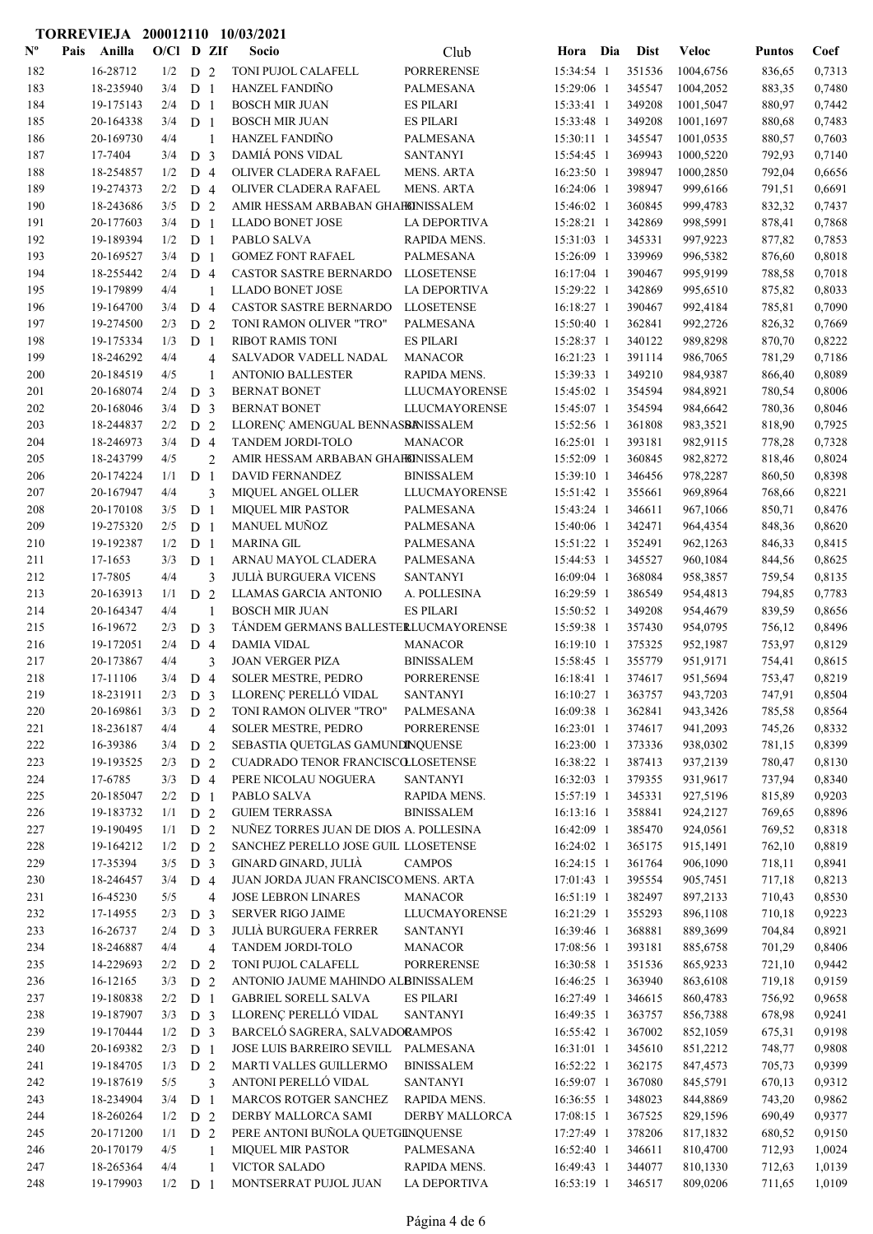|                           |      |                    |              |                |                | TORREVIEJA 200012110 10/03/2021                     |                                 |                          |                  |                      |                  |                  |
|---------------------------|------|--------------------|--------------|----------------|----------------|-----------------------------------------------------|---------------------------------|--------------------------|------------------|----------------------|------------------|------------------|
| $\mathbf{N}^{\mathbf{o}}$ | Pais | Anilla             | $O/C1$ D ZIf |                |                | Socio                                               | Club                            | Hora Dia                 | <b>Dist</b>      | <b>Veloc</b>         | <b>Puntos</b>    | Coef             |
| 182                       |      | 16-28712           | 1/2          | D <sub>2</sub> |                | TONI PUJOL CALAFELL                                 | <b>PORRERENSE</b>               | 15:34:54 1               | 351536           | 1004,6756            | 836,65           | 0,7313           |
| 183                       |      | 18-235940          | 3/4          | D <sub>1</sub> |                | <b>HANZEL FANDIÑO</b>                               | PALMESANA                       | 15:29:06 1               | 345547           | 1004,2052            | 883,35           | 0,7480           |
| 184                       |      | 19-175143          | 2/4          | D <sub>1</sub> |                | <b>BOSCH MIR JUAN</b>                               | <b>ES PILARI</b>                | 15:33:41 1               | 349208           | 1001,5047            | 880,97           | 0,7442           |
| 185                       |      | 20-164338          | 3/4          | D <sub>1</sub> |                | <b>BOSCH MIR JUAN</b>                               | <b>ES PILARI</b>                | 15:33:48 1               | 349208           | 1001,1697            | 880,68           | 0,7483           |
| 186                       |      | 20-169730          | 4/4          |                | $\mathbf{1}$   | <b>HANZEL FANDIÑO</b>                               | PALMESANA                       | 15:30:11 1               | 345547           | 1001,0535            | 880,57           | 0,7603           |
| 187                       |      | 17-7404            | 3/4          | D <sub>3</sub> |                | DAMIÁ PONS VIDAL                                    | <b>SANTANYI</b>                 | 15:54:45 1               | 369943           | 1000,5220            | 792,93           | 0,7140           |
| 188                       |      | 18-254857          | 1/2          | D <sub>4</sub> |                | OLIVER CLADERA RAFAEL                               | <b>MENS. ARTA</b>               | 16:23:50 1               | 398947           | 1000,2850            | 792,04           | 0,6656           |
| 189                       |      | 19-274373          | 2/2          | D <sub>4</sub> |                | OLIVER CLADERA RAFAEL                               | <b>MENS. ARTA</b>               | 16:24:06 1               | 398947           | 999,6166             | 791,51           | 0,6691           |
| 190                       |      | 18-243686          | 3/5          | D <sub>2</sub> |                | AMIR HESSAM ARBABAN GHAHINISSALEM                   |                                 | 15:46:02 1               | 360845           | 999,4783             | 832,32           | 0,7437           |
| 191                       |      | 20-177603          | 3/4          | D <sub>1</sub> |                | <b>LLADO BONET JOSE</b>                             | LA DEPORTIVA                    | 15:28:21 1               | 342869           | 998,5991             | 878,41           | 0,7868           |
| 192                       |      | 19-189394          | 1/2          | D <sub>1</sub> |                | PABLO SALVA                                         | RAPIDA MENS.                    | 15:31:03 1               | 345331           | 997,9223             | 877,82           | 0,7853           |
| 193                       |      | 20-169527          | 3/4          | D <sub>1</sub> |                | <b>GOMEZ FONT RAFAEL</b>                            | PALMESANA                       | 15:26:09 1               | 339969           | 996,5382             | 876,60           | 0,8018           |
| 194                       |      | 18-255442          | 2/4          | D <sub>4</sub> |                | CASTOR SASTRE BERNARDO                              | <b>LLOSETENSE</b>               | 16:17:04 1               | 390467           | 995,9199             | 788,58           | 0,7018           |
| 195                       |      | 19-179899          | 4/4          |                | $\mathbf{1}$   | <b>LLADO BONET JOSE</b>                             | LA DEPORTIVA                    | 15:29:22 1               | 342869           | 995,6510             | 875,82           | 0,8033           |
| 196                       |      | 19-164700          | 3/4          | D <sub>4</sub> |                | CASTOR SASTRE BERNARDO                              | <b>LLOSETENSE</b>               | 16:18:27 1               | 390467           | 992,4184             | 785,81           | 0,7090           |
| 197                       |      | 19-274500          | 2/3          | D <sub>2</sub> |                | TONI RAMON OLIVER "TRO"                             | PALMESANA                       | 15:50:40 1               | 362841           | 992,2726             | 826,32           | 0,7669           |
| 198                       |      | 19-175334          | 1/3          | D <sub>1</sub> |                | <b>RIBOT RAMIS TONI</b>                             | <b>ES PILARI</b>                | 15:28:37 1               | 340122           | 989,8298             | 870,70           | 0,8222           |
| 199                       |      | 18-246292          | 4/4          |                | $\overline{4}$ | SALVADOR VADELL NADAL                               | <b>MANACOR</b>                  | 16:21:23 1               | 391114           | 986,7065             | 781,29           | 0,7186           |
| 200                       |      | 20-184519          | 4/5          |                | $\mathbf{1}$   | <b>ANTONIO BALLESTER</b>                            | RAPIDA MENS.                    | 15:39:33 1               | 349210           | 984,9387             | 866,40           | 0,8089           |
| 201                       |      | 20-168074          | 2/4          | D <sub>3</sub> |                | <b>BERNAT BONET</b>                                 | <b>LLUCMAYORENSE</b>            | 15:45:02 1               | 354594           | 984,8921             | 780,54           | 0,8006           |
| 202                       |      | 20-168046          | 3/4          | D <sub>3</sub> |                | <b>BERNAT BONET</b>                                 | LLUCMAYORENSE                   | 15:45:07 1               | 354594           | 984,6642             | 780,36           | 0,8046           |
| 203                       |      | 18-244837          | 2/2          | D <sub>2</sub> |                | LLORENÇ AMENGUAL BENNASBANISSALEM                   |                                 | 15:52:56 1               | 361808           | 983,3521             | 818,90           | 0,7925           |
| 204                       |      | 18-246973          | 3/4          | D <sub>4</sub> |                | TANDEM JORDI-TOLO                                   | <b>MANACOR</b>                  | 16:25:01 1               | 393181           | 982,9115             | 778,28           | 0,7328           |
| 205                       |      | 18-243799          | 4/5          |                | $\overline{2}$ | AMIR HESSAM ARBABAN GHAHINISSALEM                   |                                 | 15:52:09 1               | 360845           | 982,8272             | 818,46           | 0,8024           |
| 206                       |      | 20-174224          | 1/1          | D <sub>1</sub> |                | DAVID FERNANDEZ                                     | <b>BINISSALEM</b>               | 15:39:10 1               | 346456           | 978,2287             | 860,50           | 0,8398           |
| 207                       |      | 20-167947          | 4/4          |                | 3              | MIQUEL ANGEL OLLER                                  | LLUCMAYORENSE                   | 15:51:42 1               | 355661           | 969,8964             | 768,66           | 0,8221           |
| 208                       |      | 20-170108          | 3/5          | D <sub>1</sub> |                | <b>MIQUEL MIR PASTOR</b>                            | <b>PALMESANA</b>                | 15:43:24 1               | 346611           | 967,1066             | 850,71           | 0,8476           |
| 209                       |      | 19-275320          | 2/5          | D <sub>1</sub> |                | <b>MANUEL MUÑOZ</b>                                 | PALMESANA                       | 15:40:06 1               | 342471           | 964,4354             | 848,36           | 0,8620           |
| 210                       |      | 19-192387          | 1/2          | D <sub>1</sub> |                | <b>MARINA GIL</b>                                   | PALMESANA                       | 15:51:22 1               | 352491           | 962,1263             | 846,33           | 0,8415           |
| 211                       |      | 17-1653<br>17-7805 | 3/3<br>4/4   | D <sub>1</sub> |                | ARNAU MAYOL CLADERA<br><b>JULIÀ BURGUERA VICENS</b> | PALMESANA                       | 15:44:53 1<br>16:09:04 1 | 345527<br>368084 | 960,1084             | 844,56           | 0,8625           |
| 212<br>213                |      | 20-163913          | 1/1          | D <sub>2</sub> | 3              | LLAMAS GARCIA ANTONIO                               | <b>SANTANYI</b><br>A. POLLESINA | 16:29:59 1               | 386549           | 958,3857             | 759,54           | 0,8135<br>0,7783 |
| 214                       |      | 20-164347          | 4/4          |                | $\mathbf{1}$   | <b>BOSCH MIR JUAN</b>                               | <b>ES PILARI</b>                | 15:50:52 1               | 349208           | 954,4813<br>954,4679 | 794,85<br>839,59 | 0,8656           |
| 215                       |      | 16-19672           | 2/3          | D <sub>3</sub> |                | TÁNDEM GERMANS BALLESTERLUCMAYORENSE                |                                 | 15:59:38 1               | 357430           | 954,0795             | 756,12           | 0,8496           |
| 216                       |      | 19-172051          | 2/4          | D <sub>4</sub> |                | <b>DAMIA VIDAL</b>                                  | <b>MANACOR</b>                  | 16:19:10 1               | 375325           | 952,1987             | 753,97           | 0,8129           |
| 217                       |      | 20-173867          | 4/4          |                | 3              | <b>JOAN VERGER PIZA</b>                             | <b>BINISSALEM</b>               | 15:58:45 1               | 355779           | 951,9171             | 754,41           | 0,8615           |
| 218                       |      | 17-11106           | 3/4          | D 4            |                | SOLER MESTRE, PEDRO                                 | PORRERENSE                      | 16:18:41 1               | 374617           | 951,5694             | 753,47           | 0,8219           |
| 219                       |      | 18-231911          | 2/3          | D <sub>3</sub> |                | LLORENÇ PERELLÓ VIDAL                               | <b>SANTANYI</b>                 | 16:10:27 1               | 363757           | 943,7203             | 747,91           | 0,8504           |
| 220                       |      | 20-169861          | 3/3          | D <sub>2</sub> |                | TONI RAMON OLIVER "TRO"                             | PALMESANA                       | 16:09:38 1               | 362841           | 943,3426             | 785,58           | 0,8564           |
| 221                       |      | 18-236187          | 4/4          |                | $\overline{4}$ | <b>SOLER MESTRE, PEDRO</b>                          | <b>PORRERENSE</b>               | 16:23:01 1               | 374617           | 941,2093             | 745,26           | 0,8332           |
| 222                       |      | 16-39386           | 3/4          | D <sub>2</sub> |                | SEBASTIA QUETGLAS GAMUNDINQUENSE                    |                                 | 16:23:00 1               | 373336           | 938,0302             | 781,15           | 0,8399           |
| 223                       |      | 19-193525          | 2/3          | D 2            |                | CUADRADO TENOR FRANCISCOLLOSETENSE                  |                                 | 16:38:22 1               | 387413           | 937,2139             | 780,47           | 0,8130           |
| 224                       |      | 17-6785            | 3/3          | D <sub>4</sub> |                | PERE NICOLAU NOGUERA                                | <b>SANTANYI</b>                 | 16:32:03 1               | 379355           | 931,9617             | 737,94           | 0,8340           |
| 225                       |      | 20-185047          | 2/2          | D <sub>1</sub> |                | PABLO SALVA                                         | RAPIDA MENS.                    | 15:57:19 1               | 345331           | 927,5196             | 815,89           | 0,9203           |
| 226                       |      | 19-183732          | 1/1          | D <sub>2</sub> |                | <b>GUIEM TERRASSA</b>                               | <b>BINISSALEM</b>               | 16:13:16 1               | 358841           | 924,2127             | 769,65           | 0,8896           |
| 227                       |      | 19-190495          | 1/1          | D <sub>2</sub> |                | NUÑEZ TORRES JUAN DE DIOS A. POLLESINA              |                                 | 16:42:09 1               | 385470           | 924,0561             | 769,52           | 0,8318           |
| 228                       |      | 19-164212          | 1/2          | D <sub>2</sub> |                | SANCHEZ PERELLO JOSE GUIL LLOSETENSE                |                                 | 16:24:02 1               | 365175           | 915,1491             | 762,10           | 0,8819           |
| 229                       |      | 17-35394           | 3/5          | D <sub>3</sub> |                | GINARD GINARD, JULIÀ                                | <b>CAMPOS</b>                   | 16:24:15 1               | 361764           | 906,1090             | 718,11           | 0,8941           |
| 230                       |      | 18-246457          | 3/4          | D <sub>4</sub> |                | JUAN JORDA JUAN FRANCISCOMENS. ARTA                 |                                 | 17:01:43 1               | 395554           | 905,7451             | 717,18           | 0,8213           |
| 231                       |      | 16-45230           | 5/5          |                | $\overline{4}$ | <b>JOSE LEBRON LINARES</b>                          | <b>MANACOR</b>                  | 16:51:19 1               | 382497           | 897,2133             | 710,43           | 0,8530           |
| 232                       |      | 17-14955           | 2/3          | D <sub>3</sub> |                | <b>SERVER RIGO JAIME</b>                            | <b>LLUCMAYORENSE</b>            | 16:21:29 1               | 355293           | 896,1108             | 710,18           | 0,9223           |
| 233                       |      | 16-26737           | 2/4          | D <sub>3</sub> |                | <b>JULIÀ BURGUERA FERRER</b>                        | <b>SANTANYI</b>                 | 16:39:46 1               | 368881           | 889,3699             | 704,84           | 0,8921           |
| 234                       |      | 18-246887          | 4/4          |                | 4              | TANDEM JORDI-TOLO                                   | <b>MANACOR</b>                  | 17:08:56 1               | 393181           | 885,6758             | 701,29           | 0,8406           |
| 235                       |      | 14-229693          | 2/2          | D <sub>2</sub> |                | TONI PUJOL CALAFELL                                 | <b>PORRERENSE</b>               | 16:30:58 1               | 351536           | 865,9233             | 721,10           | 0,9442           |
| 236                       |      | 16-12165           | 3/3          | D <sub>2</sub> |                | ANTONIO JAUME MAHINDO ALBINISSALEM                  |                                 | 16:46:25 1               | 363940           | 863,6108             | 719,18           | 0,9159           |
| 237                       |      | 19-180838          | 2/2          | D <sub>1</sub> |                | <b>GABRIEL SORELL SALVA</b>                         | <b>ES PILARI</b>                | 16:27:49 1               | 346615           | 860,4783             | 756,92           | 0,9658           |
| 238                       |      | 19-187907          | 3/3          | D <sub>3</sub> |                | LLORENÇ PERELLÓ VIDAL                               | <b>SANTANYI</b>                 | 16:49:35 1               | 363757           | 856,7388             | 678,98           | 0,9241           |
| 239                       |      | 19-170444          | 1/2          | D <sub>3</sub> |                | BARCELÓ SAGRERA, SALVADORAMPOS                      |                                 | 16:55:42 1               | 367002           | 852,1059             | 675,31           | 0,9198           |
| 240                       |      | 20-169382          | 2/3          | D <sub>1</sub> |                | JOSE LUIS BARREIRO SEVILL                           | PALMESANA                       | 16:31:01 1               | 345610           | 851,2212             | 748,77           | 0,9808           |
| 241                       |      | 19-184705          | 1/3          | D <sub>2</sub> |                | MARTI VALLES GUILLERMO                              | <b>BINISSALEM</b>               | 16:52:22 1               | 362175           | 847,4573             | 705,73           | 0,9399           |
| 242                       |      | 19-187619          | 5/5          |                | 3              | ANTONI PERELLÓ VIDAL                                | <b>SANTANYI</b>                 | 16:59:07 1               | 367080           | 845,5791             | 670,13           | 0,9312           |
| 243                       |      | 18-234904          | 3/4          | D <sub>1</sub> |                | MARCOS ROTGER SANCHEZ                               | RAPIDA MENS.                    | 16:36:55 1               | 348023           | 844,8869             | 743,20           | 0,9862           |
| 244                       |      | 18-260264          | 1/2          | D <sub>2</sub> |                | DERBY MALLORCA SAMI                                 | <b>DERBY MALLORCA</b>           | 17:08:15 1               | 367525           | 829,1596             | 690,49           | 0,9377           |
| 245                       |      | 20-171200          | 1/1          | D <sub>2</sub> |                | PERE ANTONI BUÑOLA QUETGINQUENSE                    |                                 | 17:27:49 1               | 378206           | 817,1832             | 680,52           | 0,9150           |
| 246                       |      | 20-170179          | 4/5          |                | $\mathbf{1}$   | MIQUEL MIR PASTOR                                   | PALMESANA                       | 16:52:40 1               | 346611           | 810,4700             | 712,93           | 1,0024           |
| 247                       |      | 18-265364          | 4/4          |                | $\mathbf{1}$   | VICTOR SALADO                                       | RAPIDA MENS.                    | 16:49:43 1               | 344077           | 810,1330             | 712,63           | 1,0139           |
| 248                       |      | 19-179903          | $1/2$ D 1    |                |                | MONTSERRAT PUJOL JUAN                               | <b>LA DEPORTIVA</b>             | 16:53:19 1               | 346517           | 809,0206             | 711,65           | 1,0109           |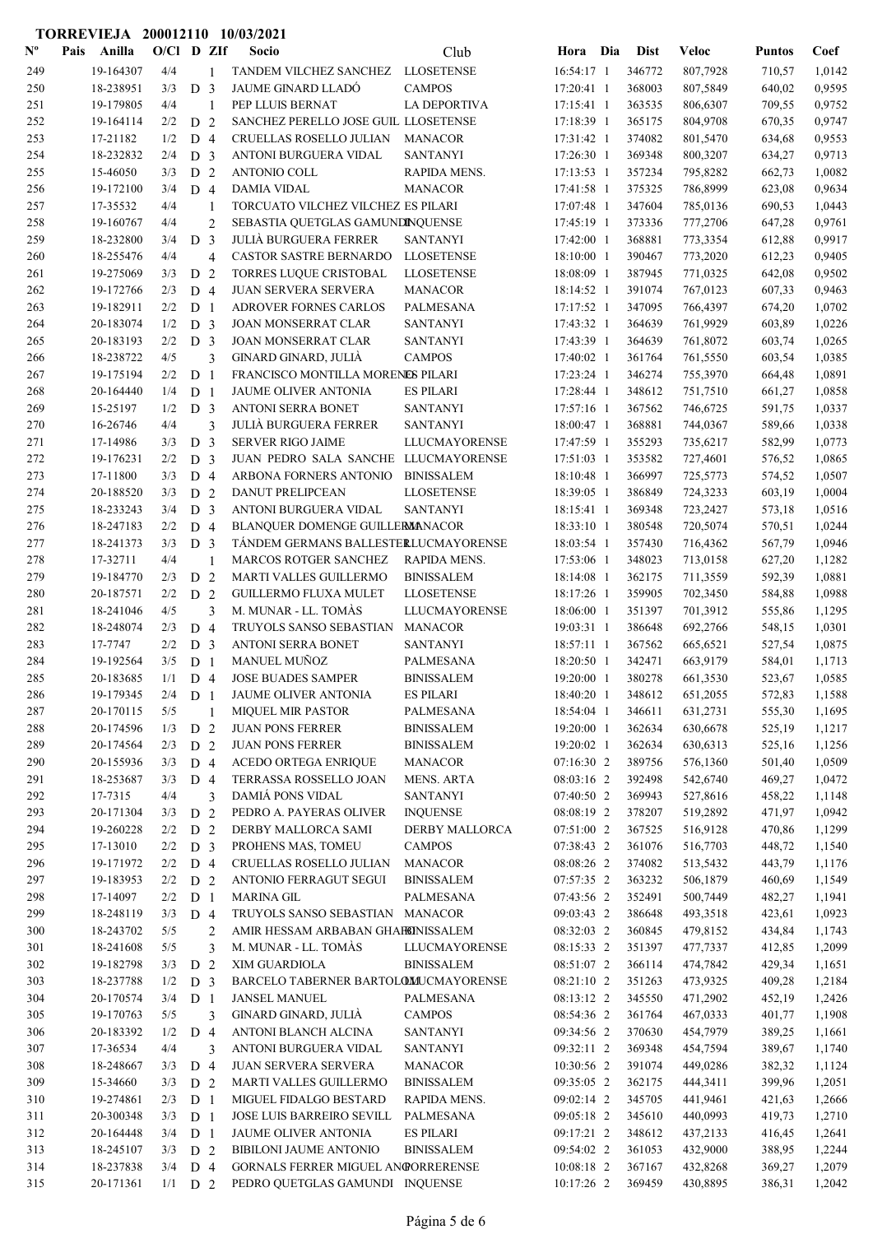|                           |      |                        |              |                       |                          | TORREVIEJA 200012110 10/03/2021                  |                                      |                          |     |                  |                      |                  |                  |
|---------------------------|------|------------------------|--------------|-----------------------|--------------------------|--------------------------------------------------|--------------------------------------|--------------------------|-----|------------------|----------------------|------------------|------------------|
| $\mathbf{N}^{\mathbf{o}}$ | Pais | Anilla                 | $O/C1$ D ZIf |                       |                          | Socio                                            | Club                                 | Hora                     | Dia | <b>Dist</b>      | <b>Veloc</b>         | <b>Puntos</b>    | Coef             |
| 249                       |      | 19-164307              | 4/4          |                       | 1                        | TANDEM VILCHEZ SANCHEZ                           | <b>LLOSETENSE</b>                    | 16:54:17 1               |     | 346772           | 807,7928             | 710,57           | 1,0142           |
| 250                       |      | 18-238951              | 3/3          | D <sub>3</sub>        |                          | JAUME GINARD LLADÓ                               | <b>CAMPOS</b>                        | 17:20:41 1               |     | 368003           | 807,5849             | 640,02           | 0,9595           |
| 251                       |      | 19-179805              | 4/4          |                       | 1                        | PEP LLUIS BERNAT                                 | <b>LA DEPORTIVA</b>                  | 17:15:41 1               |     | 363535           | 806,6307             | 709,55           | 0,9752           |
| 252                       |      | 19-164114              | 2/2          | D <sub>2</sub>        |                          | SANCHEZ PERELLO JOSE GUIL LLOSETENSE             |                                      | 17:18:39 1               |     | 365175           | 804,9708             | 670,35           | 0,9747           |
| 253                       |      | 17-21182               | 1/2          | D <sub>4</sub>        |                          | CRUELLAS ROSELLO JULIAN                          | <b>MANACOR</b>                       | 17:31:42 1               |     | 374082           | 801,5470             | 634,68           | 0,9553           |
| 254                       |      | 18-232832              | 2/4          | D <sub>3</sub>        |                          | ANTONI BURGUERA VIDAL                            | <b>SANTANYI</b>                      | 17:26:30 1               |     | 369348           | 800,3207             | 634,27           | 0,9713           |
| 255                       |      | 15-46050               | 3/3          | D 2                   |                          | ANTONIO COLL                                     | RAPIDA MENS.                         | $17:13:53$ 1             |     | 357234           | 795,8282             | 662,73           | 1,0082           |
| 256                       |      | 19-172100              | 3/4          | $D_4$                 |                          | <b>DAMIA VIDAL</b>                               | <b>MANACOR</b>                       | 17:41:58 1               |     | 375325           | 786,8999             | 623,08           | 0,9634           |
| 257                       |      | 17-35532               | 4/4          |                       | 1                        | TORCUATO VILCHEZ VILCHEZ ES PILARI               |                                      | 17:07:48 1               |     | 347604           | 785,0136             | 690,53           | 1,0443           |
| 258                       |      | 19-160767              | 4/4          |                       | $\overline{c}$           | SEBASTIA QUETGLAS GAMUNDINQUENSE                 |                                      | 17:45:19 1               |     | 373336           | 777,2706             | 647,28           | 0,9761           |
| 259                       |      | 18-232800              | 3/4          | D <sub>3</sub>        |                          | <b>JULIÀ BURGUERA FERRER</b>                     | <b>SANTANYI</b>                      | 17:42:00 1               |     | 368881           | 773,3354             | 612,88           | 0,9917           |
| 260                       |      | 18-255476              | 4/4          |                       | $\overline{\mathcal{L}}$ | <b>CASTOR SASTRE BERNARDO</b>                    | <b>LLOSETENSE</b>                    | 18:10:00 1               |     | 390467           | 773,2020             | 612,23           | 0,9405           |
| 261                       |      | 19-275069              | 3/3          | D <sub>2</sub>        |                          | TORRES LUQUE CRISTOBAL                           | <b>LLOSETENSE</b>                    | 18:08:09 1               |     | 387945           | 771,0325             | 642,08           | 0,9502           |
| 262                       |      | 19-172766              | 2/3          | D 4                   |                          | <b>JUAN SERVERA SERVERA</b>                      | <b>MANACOR</b>                       | 18:14:52 1               |     | 391074           | 767,0123             | 607,33           | 0,9463           |
| 263                       |      | 19-182911              | 2/2          | D <sub>1</sub>        |                          | ADROVER FORNES CARLOS                            | PALMESANA                            | 17:17:52 1               |     | 347095           | 766,4397             | 674,20           | 1,0702           |
| 264                       |      | 20-183074              | 1/2          | D <sub>3</sub>        |                          | <b>JOAN MONSERRAT CLAR</b>                       | <b>SANTANYI</b>                      | 17:43:32 1               |     | 364639           | 761,9929             | 603,89           | 1,0226           |
| 265                       |      | 20-183193              | 2/2          | D <sub>3</sub>        |                          | JOAN MONSERRAT CLAR                              | <b>SANTANYI</b>                      | 17:43:39 1               |     | 364639           | 761,8072             | 603,74           | 1,0265           |
| 266                       |      | 18-238722              | 4/5          |                       | 3                        | GINARD GINARD, JULIÀ                             | <b>CAMPOS</b>                        | 17:40:02 1               |     | 361764           | 761,5550             | 603,54           | 1,0385           |
| 267                       |      | 19-175194              | 2/2          | D <sub>1</sub>        |                          | FRANCISCO MONTILLA MORENES PILARI                |                                      | 17:23:24 1               |     | 346274           | 755,3970             | 664,48           | 1,0891           |
| 268                       |      | 20-164440              | 1/4          | D <sub>1</sub>        |                          | JAUME OLIVER ANTONIA                             | <b>ES PILARI</b>                     | 17:28:44 1               |     | 348612           | 751,7510             | 661,27           | 1,0858           |
| 269                       |      | 15-25197               | 1/2          | D <sub>3</sub>        |                          | ANTONI SERRA BONET                               | <b>SANTANYI</b>                      | 17:57:16 1               |     | 367562           | 746,6725             | 591,75           | 1,0337           |
| 270                       |      | 16-26746               | 4/4          |                       | 3                        | <b>JULIA BURGUERA FERRER</b>                     | <b>SANTANYI</b>                      | 18:00:47 1               |     | 368881           | 744,0367             | 589,66           | 1,0338           |
| 271                       |      | 17-14986               | 3/3          | D <sub>3</sub>        |                          | <b>SERVER RIGO JAIME</b>                         | <b>LLUCMAYORENSE</b>                 | 17:47:59 1               |     | 355293           | 735,6217             | 582,99           | 1,0773           |
| 272                       |      | 19-176231              | 2/2          | D <sub>3</sub>        |                          | JUAN PEDRO SALA SANCHE LLUCMAYORENSE             |                                      | 17:51:03 1               |     | 353582           | 727,4601             | 576,52           | 1,0865           |
| 273                       |      | 17-11800               | 3/3          | D <sub>4</sub>        |                          | ARBONA FORNERS ANTONIO                           | <b>BINISSALEM</b>                    | 18:10:48 1               |     | 366997           | 725,5773             | 574,52           | 1,0507           |
| 274<br>275                |      | 20-188520<br>18-233243 | 3/3<br>3/4   | D 2                   |                          | <b>DANUT PRELIPCEAN</b><br>ANTONI BURGUERA VIDAL | <b>LLOSETENSE</b><br><b>SANTANYI</b> | 18:39:05 1<br>18:15:41 1 |     | 386849<br>369348 | 724,3233             | 603,19           | 1,0004<br>1,0516 |
| 276                       |      | 18-247183              | 2/2          | D <sub>3</sub><br>D 4 |                          | BLANQUER DOMENGE GUILLERMANACOR                  |                                      | 18:33:10 1               |     | 380548           | 723,2427<br>720,5074 | 573,18<br>570,51 | 1,0244           |
| 277                       |      | 18-241373              | 3/3          | D <sub>3</sub>        |                          | TÁNDEM GERMANS BALLESTERLUCMAYORENSE             |                                      | 18:03:54 1               |     | 357430           | 716,4362             | 567,79           | 1,0946           |
| 278                       |      | 17-32711               | 4/4          |                       | 1                        | <b>MARCOS ROTGER SANCHEZ</b>                     | <b>RAPIDA MENS.</b>                  | 17:53:06 1               |     | 348023           | 713,0158             | 627,20           | 1,1282           |
| 279                       |      | 19-184770              | 2/3          | D <sub>2</sub>        |                          | MARTI VALLES GUILLERMO                           | <b>BINISSALEM</b>                    | 18:14:08 1               |     | 362175           | 711,3559             | 592,39           | 1,0881           |
| 280                       |      | 20-187571              | 2/2          | D 2                   |                          | <b>GUILLERMO FLUXA MULET</b>                     | <b>LLOSETENSE</b>                    | 18:17:26 1               |     | 359905           | 702,3450             | 584,88           | 1,0988           |
| 281                       |      | 18-241046              | 4/5          |                       | 3                        | M. MUNAR - LL. TOMÀS                             | <b>LLUCMAYORENSE</b>                 | 18:06:00 1               |     | 351397           | 701,3912             | 555,86           | 1,1295           |
| 282                       |      | 18-248074              | 2/3          | D 4                   |                          | TRUYOLS SANSO SEBASTIAN                          | <b>MANACOR</b>                       | 19:03:31 1               |     | 386648           | 692,2766             | 548,15           | 1,0301           |
| 283                       |      | 17-7747                | 2/2          | D <sub>3</sub>        |                          | ANTONI SERRA BONET                               | <b>SANTANYI</b>                      | 18:57:11 1               |     | 367562           | 665,6521             | 527,54           | 1,0875           |
| 284                       |      | 19-192564              | 3/5          | D <sub>1</sub>        |                          | <b>MANUEL MUÑOZ</b>                              | <b>PALMESANA</b>                     | 18:20:50 1               |     | 342471           | 663,9179             | 584,01           | 1,1713           |
| 285                       |      | 20-183685              | 1/1          | D 4                   |                          | JOSE BUADES SAMPER                               | <b>BINISSALEM</b>                    | 19:20:00 1               |     | 380278           | 661,3530             | 523,67           | 1,0585           |
| 286                       |      | 19-179345              | 2/4          | D <sub>1</sub>        |                          | JAUME OLIVER ANTONIA                             | <b>ES PILARI</b>                     | 18:40:20 1               |     | 348612           | 651,2055             | 572,83           | 1,1588           |
| 287                       |      | 20-170115              | 5/5          |                       | 1                        | <b>MIQUEL MIR PASTOR</b>                         | PALMESANA                            | 18:54:04 1               |     | 346611           | 631,2731             | 555,30           | 1,1695           |
| 288                       |      | 20-174596              | 1/3          | D 2                   |                          | <b>JUAN PONS FERRER</b>                          | <b>BINISSALEM</b>                    | 19:20:00 1               |     | 362634           | 630,6678             | 525,19           | 1,1217           |
| 289                       |      | 20-174564              | 2/3          | D 2                   |                          | <b>JUAN PONS FERRER</b>                          | <b>BINISSALEM</b>                    | 19:20:02 1               |     | 362634           | 630,6313             | 525,16           | 1,1256           |
| 290                       |      | 20-155936              | 3/3          | D 4                   |                          | <b>ACEDO ORTEGA ENRIQUE</b>                      | <b>MANACOR</b>                       | 07:16:30 2               |     | 389756           | 576,1360             | 501,40           | 1,0509           |
| 291                       |      | 18-253687              | 3/3          | $D_4$                 |                          | TERRASSA ROSSELLO JOAN                           | <b>MENS. ARTA</b>                    | 08:03:16 2               |     | 392498           | 542,6740             | 469,27           | 1,0472           |
| 292                       |      | 17-7315                | 4/4          |                       | 3                        | DAMIÁ PONS VIDAL                                 | <b>SANTANYI</b>                      | 07:40:50 2               |     | 369943           | 527,8616             | 458,22           | 1,1148           |
| 293                       |      | 20-171304              | 3/3          | D <sub>2</sub>        |                          | PEDRO A. PAYERAS OLIVER                          | <b>INQUENSE</b>                      | 08:08:19 2               |     | 378207           | 519,2892             | 471,97           | 1,0942           |
| 294                       |      | 19-260228              | 2/2          | D 2                   |                          | DERBY MALLORCA SAMI                              | <b>DERBY MALLORCA</b>                | 07:51:00 2               |     | 367525           | 516,9128             | 470,86           | 1,1299           |
| 295                       |      | 17-13010               | 2/2          | D <sub>3</sub>        |                          | PROHENS MAS, TOMEU                               | <b>CAMPOS</b>                        | 07:38:43 2               |     | 361076           | 516,7703             | 448,72           | 1,1540           |
| 296                       |      | 19-171972              | 2/2          | D 4                   |                          | CRUELLAS ROSELLO JULIAN                          | <b>MANACOR</b>                       | 08:08:26 2               |     | 374082           | 513,5432             | 443,79           | 1,1176           |
| 297                       |      | 19-183953              | 2/2          | D <sub>2</sub>        |                          | ANTONIO FERRAGUT SEGUI                           | <b>BINISSALEM</b>                    | 07:57:35 2               |     | 363232           | 506,1879             | 460,69           | 1,1549           |
| 298                       |      | 17-14097               | 2/2          | D <sub>1</sub>        |                          | MARINA GIL                                       | PALMESANA                            | 07:43:56 2               |     | 352491           | 500,7449             | 482,27           | 1,1941           |
| 299                       |      | 18-248119              | 3/3          | D 4                   |                          | TRUYOLS SANSO SEBASTIAN MANACOR                  |                                      | 09:03:43 2               |     | 386648           | 493,3518             | 423,61           | 1,0923           |
| 300                       |      | 18-243702              | 5/5          |                       | $\overline{c}$           | AMIR HESSAM ARBABAN GHAFEINISSALEM               |                                      | 08:32:03 2               |     | 360845           | 479,8152             | 434,84           | 1,1743           |
| 301                       |      | 18-241608              | 5/5          |                       | 3                        | M. MUNAR - LL. TOMAS                             | LLUCMAYORENSE                        | 08:15:33 2               |     | 351397           | 477,7337             | 412,85           | 1,2099           |
| 302                       |      | 19-182798              | 3/3          | D <sub>2</sub>        |                          | XIM GUARDIOLA                                    | <b>BINISSALEM</b>                    | 08:51:07 2               |     | 366114           | 474,7842             | 429,34           | 1,1651           |
| 303                       |      | 18-237788              | 1/2          | D <sub>3</sub>        |                          | BARCELO TABERNER BARTOLOMUCMAYORENSE             |                                      | 08:21:10 2               |     | 351263           | 473,9325             | 409,28           | 1,2184           |
| 304                       |      | 20-170574              | 3/4          | D <sub>1</sub>        |                          | <b>JANSEL MANUEL</b>                             | PALMESANA                            | 08:13:12 2               |     | 345550           | 471,2902             | 452,19           | 1,2426           |
| 305                       |      | 19-170763              | 5/5          |                       | 3                        | GINARD GINARD, JULIÀ                             | <b>CAMPOS</b>                        | 08:54:36 2               |     | 361764           | 467,0333             | 401,77           | 1,1908           |
| 306                       |      | 20-183392              | 1/2          | D 4                   |                          | ANTONI BLANCH ALCINA                             | <b>SANTANYI</b>                      | 09:34:56 2               |     | 370630           | 454,7979             | 389,25           | 1,1661           |
| 307                       |      | 17-36534               | 4/4          |                       | 3                        | ANTONI BURGUERA VIDAL                            | SANTANYI                             | 09:32:11 2               |     | 369348           | 454,7594             | 389,67           | 1,1740           |
| 308                       |      | 18-248667              | 3/3          | D 4                   |                          | JUAN SERVERA SERVERA                             | <b>MANACOR</b>                       | 10:30:56 2               |     | 391074           | 449,0286             | 382,32           | 1,1124           |
| 309                       |      | 15-34660               | 3/3          | D 2                   |                          | MARTI VALLES GUILLERMO                           | <b>BINISSALEM</b>                    | 09:35:05 2               |     | 362175           | 444,3411             | 399,96           | 1,2051           |
| 310                       |      | 19-274861              | 2/3          | D <sub>1</sub>        |                          | MIGUEL FIDALGO BESTARD                           | RAPIDA MENS.                         | 09:02:14 2               |     | 345705           | 441,9461             | 421,63           | 1,2666           |
| 311                       |      | 20-300348              | 3/3          | D <sub>1</sub>        |                          | JOSE LUIS BARREIRO SEVILL                        | PALMESANA                            | 09:05:18 2               |     | 345610           | 440,0993             | 419,73           | 1,2710           |
| 312                       |      | 20-164448              | 3/4          | D <sub>1</sub>        |                          | JAUME OLIVER ANTONIA                             | <b>ES PILARI</b>                     | 09:17:21 2               |     | 348612           | 437,2133             | 416,45           | 1,2641           |
| 313                       |      | 18-245107              | 3/3          | D <sub>2</sub>        |                          | <b>BIBILONI JAUME ANTONIO</b>                    | <b>BINISSALEM</b>                    | 09:54:02 2               |     | 361053           | 432,9000             | 388,95           | 1,2244           |
| 314                       |      | 18-237838              | 3/4          | D 4                   |                          | GORNALS FERRER MIGUEL ANGORRERENSE               |                                      | 10:08:18 2               |     | 367167           | 432,8268             | 369,27           | 1,2079           |
| 315                       |      | 20-171361              | $1/1$ D 2    |                       |                          | PEDRO QUETGLAS GAMUNDI INQUENSE                  |                                      | 10:17:26 2               |     | 369459           | 430,8895             | 386,31           | 1,2042           |